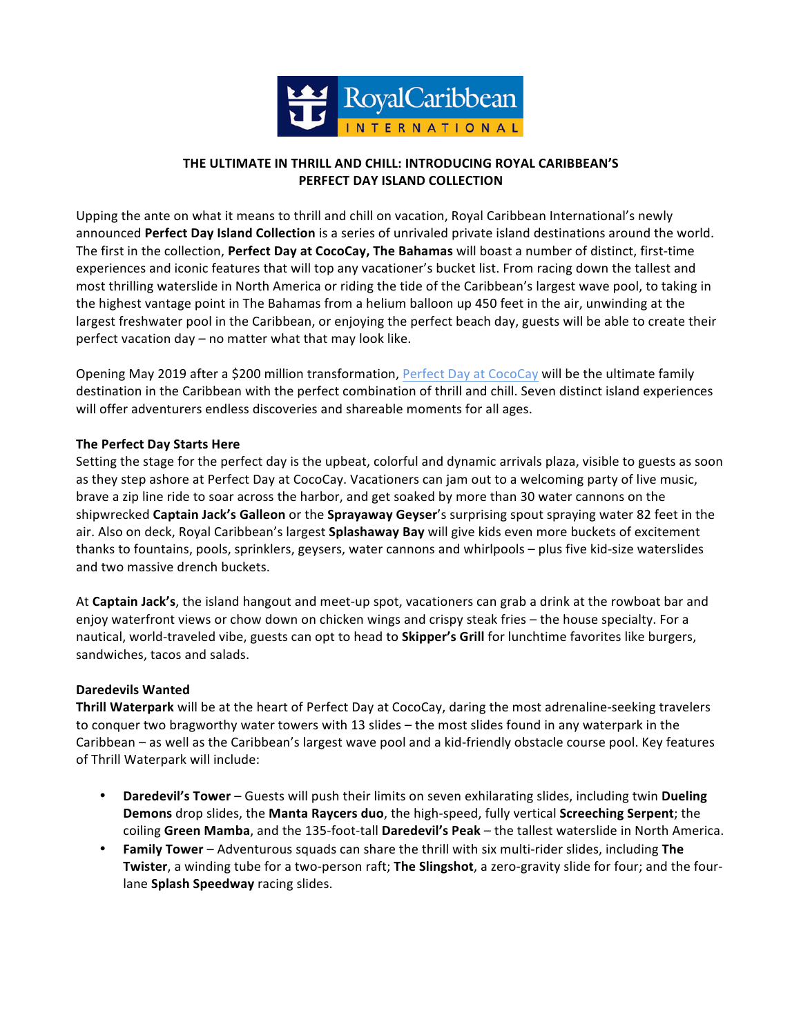

# THE ULTIMATE IN THRILL AND CHILL: INTRODUCING ROYAL CARIBBEAN'S **PERFECT DAY ISLAND COLLECTION**

Upping the ante on what it means to thrill and chill on vacation, Royal Caribbean International's newly announced **Perfect Day Island Collection** is a series of unrivaled private island destinations around the world. The first in the collection, Perfect Day at CocoCay, The Bahamas will boast a number of distinct, first-time experiences and iconic features that will top any vacationer's bucket list. From racing down the tallest and most thrilling waterslide in North America or riding the tide of the Caribbean's largest wave pool, to taking in the highest vantage point in The Bahamas from a helium balloon up 450 feet in the air, unwinding at the largest freshwater pool in the Caribbean, or enjoying the perfect beach day, guests will be able to create their perfect vacation day  $-$  no matter what that may look like.

Opening May 2019 after a \$200 million transformation, Perfect Day at CocoCay will be the ultimate family destination in the Caribbean with the perfect combination of thrill and chill. Seven distinct island experiences will offer adventurers endless discoveries and shareable moments for all ages.

## **The Perfect Day Starts Here**

Setting the stage for the perfect day is the upbeat, colorful and dynamic arrivals plaza, visible to guests as soon as they step ashore at Perfect Day at CocoCay. Vacationers can jam out to a welcoming party of live music, brave a zip line ride to soar across the harbor, and get soaked by more than 30 water cannons on the shipwrecked **Captain Jack's Galleon** or the **Sprayaway Geyser's** surprising spout spraying water 82 feet in the air. Also on deck, Royal Caribbean's largest **Splashaway Bay** will give kids even more buckets of excitement thanks to fountains, pools, sprinklers, geysers, water cannons and whirlpools – plus five kid-size waterslides and two massive drench buckets.

At **Captain Jack's**, the island hangout and meet-up spot, vacationers can grab a drink at the rowboat bar and enjoy waterfront views or chow down on chicken wings and crispy steak fries – the house specialty. For a nautical, world-traveled vibe, guests can opt to head to **Skipper's Grill** for lunchtime favorites like burgers, sandwiches, tacos and salads.

## **Daredevils Wanted**

**Thrill Waterpark** will be at the heart of Perfect Day at CocoCay, daring the most adrenaline-seeking travelers to conquer two bragworthy water towers with 13 slides – the most slides found in any waterpark in the Caribbean – as well as the Caribbean's largest wave pool and a kid-friendly obstacle course pool. Key features of Thrill Waterpark will include:

- Daredevil's Tower Guests will push their limits on seven exhilarating slides, including twin Dueling **Demons** drop slides, the **Manta Raycers duo**, the high-speed, fully vertical **Screeching Serpent**; the coiling Green Mamba, and the 135-foot-tall Daredevil's Peak – the tallest waterslide in North America.
- Family Tower Adventurous squads can share the thrill with six multi-rider slides, including The **Twister**, a winding tube for a two-person raft; **The Slingshot**, a zero-gravity slide for four; and the fourlane **Splash Speedway** racing slides.